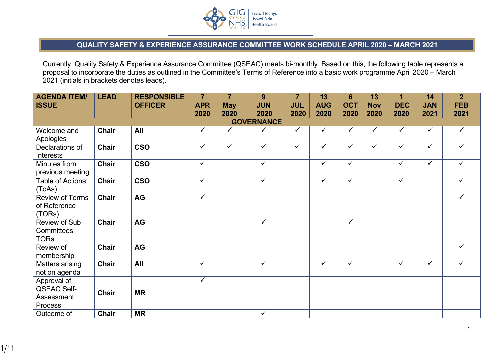

## **QUALITY SAFETY & EXPERIENCE ASSURANCE COMMITTEE WORK SCHEDULE APRIL 2020 – MARCH 2021**

Currently, Quality Safety & Experience Assurance Committee (QSEAC) meets bi-monthly. Based on this, the following table represents a proposal to incorporate the duties as outlined in the Committee's Terms of Reference into a basic work programme April 2020 – March 2021 (initials in brackets denotes leads).

| <b>AGENDA ITEM/</b><br><b>ISSUE</b>                        | <b>LEAD</b>  | <b>RESPONSIBLE</b><br><b>OFFICER</b> | $\overline{7}$<br><b>APR</b> | $\overline{7}$<br><b>May</b> | 9<br><b>JUN</b>         | $\overline{7}$<br><b>JUL</b> | 13<br><b>AUG</b> | $6\phantom{1}$<br><b>OCT</b> | 13<br><b>Nov</b> | $\overline{1}$<br><b>DEC</b> | 14<br><b>JAN</b>        | 2 <sup>1</sup><br><b>FEB</b> |
|------------------------------------------------------------|--------------|--------------------------------------|------------------------------|------------------------------|-------------------------|------------------------------|------------------|------------------------------|------------------|------------------------------|-------------------------|------------------------------|
|                                                            |              |                                      | 2020                         | 2020                         | 2020                    | 2020                         | 2020             | 2020                         | 2020             | 2020                         | 2021                    | 2021                         |
|                                                            |              |                                      |                              |                              | <b>GOVERNANCE</b>       |                              |                  |                              |                  |                              |                         |                              |
| Welcome and<br>Apologies                                   | Chair        | All                                  | $\checkmark$                 | $\checkmark$                 | ✓                       | $\checkmark$                 | $\checkmark$     | $\checkmark$                 | ✓                | $\checkmark$                 | $\checkmark$            | $\checkmark$                 |
| Declarations of<br><b>Interests</b>                        | <b>Chair</b> | <b>CSO</b>                           | $\overline{\checkmark}$      | $\checkmark$                 | $\overline{\checkmark}$ | $\overline{\checkmark}$      | $\checkmark$     | $\checkmark$                 | $\checkmark$     | $\overline{\checkmark}$      | $\overline{\checkmark}$ | $\checkmark$                 |
| Minutes from<br>previous meeting                           | <b>Chair</b> | <b>CSO</b>                           | $\checkmark$                 |                              | ✓                       |                              | $\checkmark$     | $\checkmark$                 |                  | $\checkmark$                 | $\checkmark$            | ✓                            |
| <b>Table of Actions</b><br>(ToAs)                          | Chair        | <b>CSO</b>                           | $\checkmark$                 |                              | ✓                       |                              | $\checkmark$     | $\checkmark$                 |                  | $\checkmark$                 |                         | $\checkmark$                 |
| <b>Review of Terms</b><br>of Reference<br>(TORs)           | <b>Chair</b> | <b>AG</b>                            | $\checkmark$                 |                              |                         |                              |                  |                              |                  |                              |                         | ✓                            |
| Review of Sub<br>Committees<br><b>TORs</b>                 | <b>Chair</b> | <b>AG</b>                            |                              |                              | $\checkmark$            |                              |                  | $\checkmark$                 |                  |                              |                         |                              |
| Review of<br>membership                                    | <b>Chair</b> | AG                                   |                              |                              |                         |                              |                  |                              |                  |                              |                         | ✓                            |
| Matters arising<br>not on agenda                           | <b>Chair</b> | All                                  | $\checkmark$                 |                              | $\checkmark$            |                              | $\checkmark$     | $\checkmark$                 |                  | $\checkmark$                 | $\checkmark$            | $\checkmark$                 |
| Approval of<br><b>QSEAC Self-</b><br>Assessment<br>Process | <b>Chair</b> | <b>MR</b>                            | $\checkmark$                 |                              |                         |                              |                  |                              |                  |                              |                         |                              |
| Outcome of                                                 | <b>Chair</b> | <b>MR</b>                            |                              |                              | $\checkmark$            |                              |                  |                              |                  |                              |                         |                              |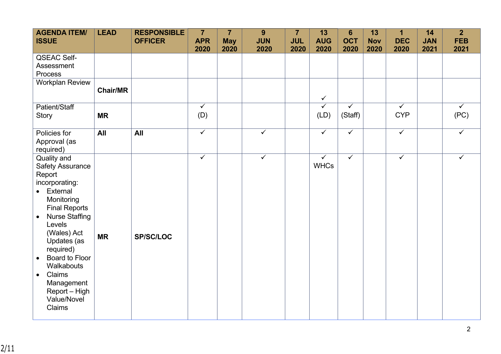| <b>AGENDA ITEM/</b><br><b>ISSUE</b>                                                                                                                                                                                                                                                                                                                  | <b>LEAD</b>     | <b>RESPONSIBLE</b><br><b>OFFICER</b> | $\overline{7}$<br><b>APR</b><br>2020 | $\overline{7}$<br><b>May</b><br>2020 | 9<br><b>JUN</b><br>2020 | $\overline{7}$<br><b>JUL</b><br>2020 | 13<br><b>AUG</b><br>2020    | $6\phantom{1}$<br><b>OCT</b><br>2020 | 13<br><b>Nov</b><br>2020 | $\overline{\mathbf{1}}$<br><b>DEC</b><br>2020 | 14<br><b>JAN</b><br>2021 | 2 <sup>1</sup><br><b>FEB</b><br>2021 |
|------------------------------------------------------------------------------------------------------------------------------------------------------------------------------------------------------------------------------------------------------------------------------------------------------------------------------------------------------|-----------------|--------------------------------------|--------------------------------------|--------------------------------------|-------------------------|--------------------------------------|-----------------------------|--------------------------------------|--------------------------|-----------------------------------------------|--------------------------|--------------------------------------|
| <b>QSEAC Self-</b><br>Assessment<br>Process                                                                                                                                                                                                                                                                                                          |                 |                                      |                                      |                                      |                         |                                      |                             |                                      |                          |                                               |                          |                                      |
| <b>Workplan Review</b>                                                                                                                                                                                                                                                                                                                               | <b>Chair/MR</b> |                                      |                                      |                                      |                         |                                      | $\checkmark$                |                                      |                          |                                               |                          |                                      |
| Patient/Staff<br><b>Story</b>                                                                                                                                                                                                                                                                                                                        | <b>MR</b>       |                                      | $\checkmark$<br>(D)                  |                                      |                         |                                      | $\checkmark$<br>(LD)        | $\checkmark$<br>(Staff)              |                          | $\checkmark$<br><b>CYP</b>                    |                          | $\checkmark$<br>(PC)                 |
| Policies for<br>Approval (as<br>required)                                                                                                                                                                                                                                                                                                            | All             | <b>All</b>                           | $\overline{\checkmark}$              |                                      | $\overline{\checkmark}$ |                                      | $\overline{\checkmark}$     | $\overline{\checkmark}$              |                          | $\overline{\checkmark}$                       |                          | $\overline{\checkmark}$              |
| Quality and<br><b>Safety Assurance</b><br>Report<br>incorporating:<br>• External<br>Monitoring<br><b>Final Reports</b><br><b>Nurse Staffing</b><br>$\bullet$<br>Levels<br>(Wales) Act<br>Updates (as<br>required)<br><b>Board to Floor</b><br>$\bullet$<br>Walkabouts<br>Claims<br>$\bullet$<br>Management<br>Report - High<br>Value/Novel<br>Claims | <b>MR</b>       | <b>SP/SC/LOC</b>                     | $\checkmark$                         |                                      | $\checkmark$            |                                      | $\checkmark$<br><b>WHCs</b> | $\checkmark$                         |                          | $\checkmark$                                  |                          | $\checkmark$                         |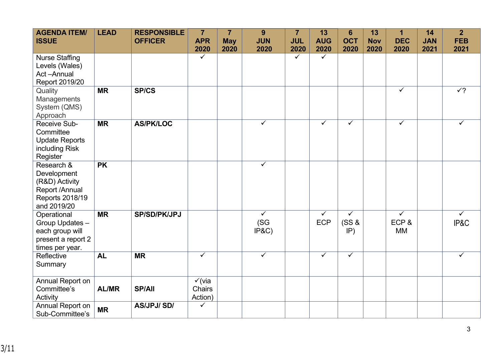| <b>AGENDA ITEM/</b><br><b>ISSUE</b>                                                             | <b>LEAD</b>  | <b>RESPONSIBLE</b><br><b>OFFICER</b> | $\overline{7}$<br><b>APR</b>                  | $\overline{7}$<br><b>May</b> | 9<br><b>JUN</b>                          | $\overline{7}$<br><b>JUL</b> | 13<br><b>AUG</b>           | $6\phantom{1}$<br><b>OCT</b> | 13<br><b>Nov</b> | $\mathbf 1$<br><b>DEC</b>                    | 14<br><b>JAN</b> | $\overline{2}$<br><b>FEB</b>    |
|-------------------------------------------------------------------------------------------------|--------------|--------------------------------------|-----------------------------------------------|------------------------------|------------------------------------------|------------------------------|----------------------------|------------------------------|------------------|----------------------------------------------|------------------|---------------------------------|
| <b>Nurse Staffing</b><br>Levels (Wales)<br>Act-Annual<br>Report 2019/20                         |              |                                      | 2020<br>$\checkmark$                          | 2020                         | 2020                                     | 2020<br>$\checkmark$         | 2020<br>$\checkmark$       | 2020                         | 2020             | 2020                                         | 2021             | 2021                            |
| Quality<br>Managements<br>System (QMS)<br>Approach                                              | <b>MR</b>    | <b>SP/CS</b>                         |                                               |                              |                                          |                              |                            |                              |                  | $\checkmark$                                 |                  | $\sqrt{?}$                      |
| Receive Sub-<br>Committee<br><b>Update Reports</b><br>including Risk<br>Register                | <b>MR</b>    | <b>AS/PK/LOC</b>                     |                                               |                              | $\checkmark$                             |                              | $\checkmark$               | $\overline{\checkmark}$      |                  | $\checkmark$                                 |                  | $\checkmark$                    |
| Research &<br>Development<br>(R&D) Activity<br>Report /Annual<br>Reports 2018/19<br>and 2019/20 | <b>PK</b>    |                                      |                                               |                              | $\checkmark$                             |                              |                            |                              |                  |                                              |                  |                                 |
| Operational<br>Group Updates -<br>each group will<br>present a report 2<br>times per year.      | <b>MR</b>    | <b>SP/SD/PK/JPJ</b>                  |                                               |                              | $\overline{\checkmark}$<br>(SG)<br>IP&C) |                              | $\checkmark$<br><b>ECP</b> | $\checkmark$<br>(SS &<br>IP) |                  | $\overline{\checkmark}$<br>ECP&<br><b>MM</b> |                  | $\overline{\checkmark}$<br>IP&C |
| Reflective<br>Summary                                                                           | <b>AL</b>    | <b>MR</b>                            | $\overline{\checkmark}$                       |                              | $\overline{\checkmark}$                  |                              | $\checkmark$               | $\overline{\checkmark}$      |                  |                                              |                  | $\checkmark$                    |
| Annual Report on<br>Committee's<br>Activity                                                     | <b>AL/MR</b> | <b>SP/All</b>                        | $\checkmark$ (via<br><b>Chairs</b><br>Action) |                              |                                          |                              |                            |                              |                  |                                              |                  |                                 |
| Annual Report on<br>Sub-Committee's                                                             | <b>MR</b>    | <b>AS/JPJ/SD/</b>                    | $\checkmark$                                  |                              |                                          |                              |                            |                              |                  |                                              |                  |                                 |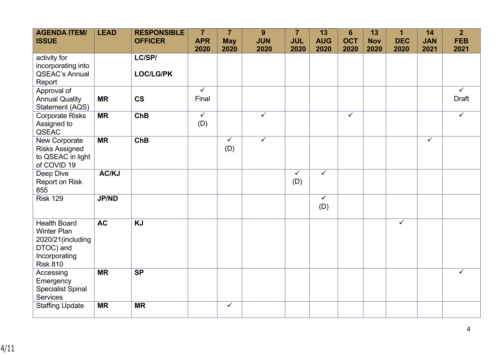| <b>AGENDA ITEM/</b><br><b>ISSUE</b>                                                                             | <b>LEAD</b>  | <b>RESPONSIBLE</b><br><b>OFFICER</b> | $\overline{7}$<br><b>APR</b><br>2020 | $\overline{7}$<br><b>May</b><br>2020 | 9<br><b>JUN</b><br>2020 | $\overline{7}$<br><b>JUL</b><br>2020 | 13<br><b>AUG</b><br>2020 | $6\phantom{1}$<br><b>OCT</b><br>2020 | 13<br><b>Nov</b><br>2020 | $\mathbf{1}$<br><b>DEC</b><br>2020 | 14<br><b>JAN</b><br>2021 | $\overline{2}$<br><b>FEB</b><br>2021 |
|-----------------------------------------------------------------------------------------------------------------|--------------|--------------------------------------|--------------------------------------|--------------------------------------|-------------------------|--------------------------------------|--------------------------|--------------------------------------|--------------------------|------------------------------------|--------------------------|--------------------------------------|
| activity for<br>incorporating into<br><b>QSEAC's Annual</b><br>Report                                           |              | LC/SP/<br><b>LOC/LG/PK</b>           |                                      |                                      |                         |                                      |                          |                                      |                          |                                    |                          |                                      |
| Approval of<br><b>Annual Quality</b><br>Statement (AQS)                                                         | <b>MR</b>    | <b>CS</b>                            | $\overline{\checkmark}$<br>Final     |                                      |                         |                                      |                          |                                      |                          |                                    |                          | $\checkmark$<br><b>Draft</b>         |
| <b>Corporate Risks</b><br>Assigned to<br>QSEAC                                                                  | <b>MR</b>    | <b>ChB</b>                           | $\overline{\checkmark}$<br>(D)       |                                      | $\checkmark$            |                                      |                          | $\checkmark$                         |                          |                                    |                          | $\overline{\checkmark}$              |
| New Corporate<br><b>Risks Assigned</b><br>to QSEAC in light<br>of COVID 19                                      | <b>MR</b>    | <b>ChB</b>                           |                                      | $\checkmark$<br>(D)                  | $\checkmark$            |                                      |                          |                                      |                          |                                    | $\overline{\checkmark}$  |                                      |
| Deep Dive<br>Report on Risk<br>855                                                                              | AC/KJ        |                                      |                                      |                                      |                         | $\overline{\checkmark}$<br>(D)       | $\overline{\checkmark}$  |                                      |                          |                                    |                          |                                      |
| <b>Risk 129</b>                                                                                                 | <b>JP/ND</b> |                                      |                                      |                                      |                         |                                      | $\checkmark$<br>(D)      |                                      |                          |                                    |                          |                                      |
| <b>Health Board</b><br><b>Winter Plan</b><br>2020/21(including<br>DTOC) and<br>Incorporating<br><b>Risk 810</b> | <b>AC</b>    | <b>KJ</b>                            |                                      |                                      |                         |                                      |                          |                                      |                          | $\checkmark$                       |                          |                                      |
| Accessing<br>Emergency<br><b>Specialist Spinal</b><br><b>Services</b>                                           | <b>MR</b>    | <b>SP</b>                            |                                      |                                      |                         |                                      |                          |                                      |                          |                                    |                          | ✓                                    |
| <b>Staffing Update</b>                                                                                          | <b>MR</b>    | <b>MR</b>                            |                                      | $\checkmark$                         |                         |                                      |                          |                                      |                          |                                    |                          |                                      |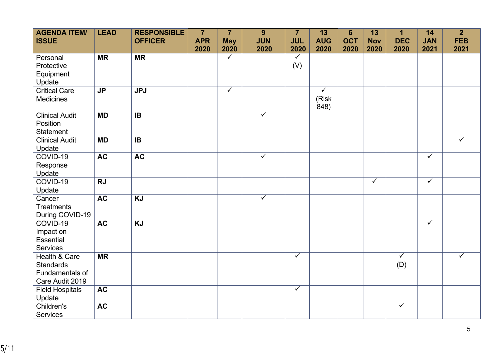| <b>AGENDA ITEM/</b><br><b>ISSUE</b>                                     | <b>LEAD</b>    | <b>RESPONSIBLE</b><br><b>OFFICER</b> | $\overline{7}$<br><b>APR</b> | $\overline{7}$<br><b>May</b> | 9<br><b>JUN</b> | $\overline{7}$<br><b>JUL</b> | 13<br><b>AUG</b>                         | $6\phantom{1}$<br><b>OCT</b> | 13<br><b>Nov</b> | $\overline{1}$<br><b>DEC</b>   | 14<br><b>JAN</b>        | $\overline{2}$<br><b>FEB</b> |
|-------------------------------------------------------------------------|----------------|--------------------------------------|------------------------------|------------------------------|-----------------|------------------------------|------------------------------------------|------------------------------|------------------|--------------------------------|-------------------------|------------------------------|
|                                                                         |                |                                      | 2020                         | 2020                         | 2020            | 2020                         | 2020                                     | 2020                         | 2020             | 2020                           | 2021                    | 2021                         |
| Personal<br>Protective<br>Equipment<br>Update                           | <b>MR</b>      | <b>MR</b>                            |                              | $\checkmark$                 |                 | $\checkmark$<br>(V)          |                                          |                              |                  |                                |                         |                              |
| <b>Critical Care</b><br><b>Medicines</b>                                | J <sub>P</sub> | JPI                                  |                              | $\overline{\checkmark}$      |                 |                              | $\overline{\checkmark}$<br>(Risk<br>848) |                              |                  |                                |                         |                              |
| <b>Clinical Audit</b><br>Position<br><b>Statement</b>                   | <b>MD</b>      | IB                                   |                              |                              | $\checkmark$    |                              |                                          |                              |                  |                                |                         |                              |
| <b>Clinical Audit</b><br>Update                                         | <b>MD</b>      | <b>IB</b>                            |                              |                              |                 |                              |                                          |                              |                  |                                |                         | $\checkmark$                 |
| COVID-19<br>Response<br>Update                                          | <b>AC</b>      | <b>AC</b>                            |                              |                              | $\checkmark$    |                              |                                          |                              |                  |                                | $\overline{\checkmark}$ |                              |
| COVID-19<br>Update                                                      | <b>RJ</b>      |                                      |                              |                              |                 |                              |                                          |                              | $\checkmark$     |                                | $\overline{\checkmark}$ |                              |
| Cancer<br><b>Treatments</b><br>During COVID-19                          | AC             | $\overline{KJ}$                      |                              |                              | $\checkmark$    |                              |                                          |                              |                  |                                |                         |                              |
| COVID-19<br>Impact on<br><b>Essential</b><br><b>Services</b>            | <b>AC</b>      | <b>KJ</b>                            |                              |                              |                 |                              |                                          |                              |                  |                                | $\checkmark$            |                              |
| Health & Care<br><b>Standards</b><br>Fundamentals of<br>Care Audit 2019 | <b>MR</b>      |                                      |                              |                              |                 | $\overline{\checkmark}$      |                                          |                              |                  | $\overline{\checkmark}$<br>(D) |                         | $\checkmark$                 |
| <b>Field Hospitals</b><br>Update                                        | <b>AC</b>      |                                      |                              |                              |                 | $\checkmark$                 |                                          |                              |                  |                                |                         |                              |
| Children's<br><b>Services</b>                                           | <b>AC</b>      |                                      |                              |                              |                 |                              |                                          |                              |                  | $\checkmark$                   |                         |                              |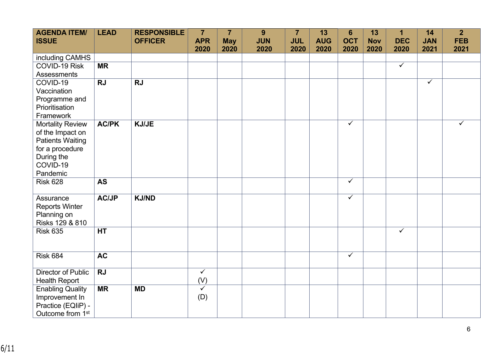| <b>AGENDA ITEM/</b><br><b>ISSUE</b>         | <b>LEAD</b>  | <b>RESPONSIBLE</b><br><b>OFFICER</b> | $\overline{7}$<br><b>APR</b> | $\overline{7}$<br><b>May</b> | 9<br><b>JUN</b> | $\overline{7}$<br><b>JUL</b> | 13<br><b>AUG</b> | $6\phantom{1}$<br><b>OCT</b> | 13<br><b>Nov</b> | $\mathbf 1$<br><b>DEC</b> | 14<br><b>JAN</b> | 2 <sup>1</sup><br><b>FEB</b> |
|---------------------------------------------|--------------|--------------------------------------|------------------------------|------------------------------|-----------------|------------------------------|------------------|------------------------------|------------------|---------------------------|------------------|------------------------------|
|                                             |              |                                      | 2020                         | 2020                         | 2020            | 2020                         | 2020             | 2020                         | 2020             | 2020                      | 2021             | 2021                         |
| including CAMHS                             |              |                                      |                              |                              |                 |                              |                  |                              |                  |                           |                  |                              |
| COVID-19 Risk                               | <b>MR</b>    |                                      |                              |                              |                 |                              |                  |                              |                  | $\checkmark$              |                  |                              |
| <b>Assessments</b>                          |              |                                      |                              |                              |                 |                              |                  |                              |                  |                           |                  |                              |
| COVID-19                                    | <b>RJ</b>    | <b>RJ</b>                            |                              |                              |                 |                              |                  |                              |                  |                           | $\checkmark$     |                              |
| Vaccination                                 |              |                                      |                              |                              |                 |                              |                  |                              |                  |                           |                  |                              |
| Programme and                               |              |                                      |                              |                              |                 |                              |                  |                              |                  |                           |                  |                              |
| Prioritisation                              |              |                                      |                              |                              |                 |                              |                  |                              |                  |                           |                  |                              |
| Framework                                   |              |                                      |                              |                              |                 |                              |                  | $\checkmark$                 |                  |                           |                  | $\checkmark$                 |
| <b>Mortality Review</b>                     | <b>AC/PK</b> | <b>KJ/JE</b>                         |                              |                              |                 |                              |                  |                              |                  |                           |                  |                              |
| of the Impact on<br><b>Patients Waiting</b> |              |                                      |                              |                              |                 |                              |                  |                              |                  |                           |                  |                              |
| for a procedure                             |              |                                      |                              |                              |                 |                              |                  |                              |                  |                           |                  |                              |
| During the                                  |              |                                      |                              |                              |                 |                              |                  |                              |                  |                           |                  |                              |
| COVID-19                                    |              |                                      |                              |                              |                 |                              |                  |                              |                  |                           |                  |                              |
| Pandemic                                    |              |                                      |                              |                              |                 |                              |                  |                              |                  |                           |                  |                              |
| <b>Risk 628</b>                             | <b>AS</b>    |                                      |                              |                              |                 |                              |                  | $\overline{\checkmark}$      |                  |                           |                  |                              |
|                                             |              |                                      |                              |                              |                 |                              |                  |                              |                  |                           |                  |                              |
| Assurance                                   | <b>AC/JP</b> | <b>KJ/ND</b>                         |                              |                              |                 |                              |                  | $\overline{\checkmark}$      |                  |                           |                  |                              |
| <b>Reports Winter</b>                       |              |                                      |                              |                              |                 |                              |                  |                              |                  |                           |                  |                              |
| Planning on<br>Risks 129 & 810              |              |                                      |                              |                              |                 |                              |                  |                              |                  |                           |                  |                              |
| <b>Risk 635</b>                             | <b>HT</b>    |                                      |                              |                              |                 |                              |                  |                              |                  | $\checkmark$              |                  |                              |
|                                             |              |                                      |                              |                              |                 |                              |                  |                              |                  |                           |                  |                              |
|                                             |              |                                      |                              |                              |                 |                              |                  |                              |                  |                           |                  |                              |
| <b>Risk 684</b>                             | <b>AC</b>    |                                      |                              |                              |                 |                              |                  | $\checkmark$                 |                  |                           |                  |                              |
|                                             |              |                                      |                              |                              |                 |                              |                  |                              |                  |                           |                  |                              |
| <b>Director of Public</b>                   | <b>RJ</b>    |                                      | $\overline{\checkmark}$      |                              |                 |                              |                  |                              |                  |                           |                  |                              |
| <b>Health Report</b>                        |              |                                      | (V)                          |                              |                 |                              |                  |                              |                  |                           |                  |                              |
| <b>Enabling Quality</b>                     | <b>MR</b>    | <b>MD</b>                            | $\checkmark$                 |                              |                 |                              |                  |                              |                  |                           |                  |                              |
| Improvement In                              |              |                                      | (D)                          |                              |                 |                              |                  |                              |                  |                           |                  |                              |
| Practice (EQliP) -                          |              |                                      |                              |                              |                 |                              |                  |                              |                  |                           |                  |                              |
| Outcome from 1 <sup>st</sup>                |              |                                      |                              |                              |                 |                              |                  |                              |                  |                           |                  |                              |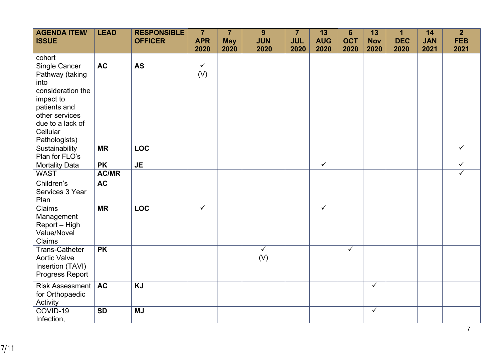| <b>AGENDA ITEM/</b><br><b>ISSUE</b>                                                                                                          | <b>LEAD</b>  | <b>RESPONSIBLE</b><br><b>OFFICER</b> | $\overline{7}$<br><b>APR</b>   | $\overline{7}$<br><b>May</b> | 9<br><b>JUN</b>                | $\overline{7}$<br><b>JUL</b> | 13<br><b>AUG</b>        | $6\phantom{1}$<br><b>OCT</b> | 13<br><b>Nov</b> | $\mathbf 1$<br><b>DEC</b> | 14<br><b>JAN</b> | $\overline{2}$<br><b>FEB</b> |
|----------------------------------------------------------------------------------------------------------------------------------------------|--------------|--------------------------------------|--------------------------------|------------------------------|--------------------------------|------------------------------|-------------------------|------------------------------|------------------|---------------------------|------------------|------------------------------|
|                                                                                                                                              |              |                                      | 2020                           | 2020                         | 2020                           | 2020                         | 2020                    | 2020                         | 2020             | 2020                      | 2021             | 2021                         |
| cohort                                                                                                                                       |              |                                      |                                |                              |                                |                              |                         |                              |                  |                           |                  |                              |
| Single Cancer<br>Pathway (taking<br>into<br>consideration the<br>impact to<br>patients and<br>other services<br>due to a lack of<br>Cellular | AC           | <b>AS</b>                            | $\overline{\checkmark}$<br>(V) |                              |                                |                              |                         |                              |                  |                           |                  |                              |
| Pathologists)<br>Sustainability                                                                                                              | <b>MR</b>    | <b>LOC</b>                           |                                |                              |                                |                              |                         |                              |                  |                           |                  | $\checkmark$                 |
| Plan for FLO's                                                                                                                               |              |                                      |                                |                              |                                |                              |                         |                              |                  |                           |                  |                              |
| <b>Mortality Data</b>                                                                                                                        | <b>PK</b>    | <b>JE</b>                            |                                |                              |                                |                              | $\overline{\checkmark}$ |                              |                  |                           |                  | $\checkmark$                 |
| <b>WAST</b>                                                                                                                                  | <b>AC/MR</b> |                                      |                                |                              |                                |                              |                         |                              |                  |                           |                  | $\overline{\checkmark}$      |
| Children's<br>Services 3 Year<br>Plan                                                                                                        | <b>AC</b>    |                                      |                                |                              |                                |                              |                         |                              |                  |                           |                  |                              |
| Claims<br>Management<br>Report - High<br>Value/Novel<br>Claims                                                                               | <b>MR</b>    | <b>LOC</b>                           | $\overline{\checkmark}$        |                              |                                |                              | $\overline{\checkmark}$ |                              |                  |                           |                  |                              |
| <b>Trans-Catheter</b><br><b>Aortic Valve</b><br>Insertion (TAVI)<br>Progress Report                                                          | <b>PK</b>    |                                      |                                |                              | $\overline{\checkmark}$<br>(V) |                              |                         | $\overline{\checkmark}$      |                  |                           |                  |                              |
| <b>Risk Assessment</b><br>for Orthopaedic<br>Activity                                                                                        | <b>AC</b>    | <b>KJ</b>                            |                                |                              |                                |                              |                         |                              | $\checkmark$     |                           |                  |                              |
| COVID-19<br>Infection,                                                                                                                       | <b>SD</b>    | <b>MJ</b>                            |                                |                              |                                |                              |                         |                              | $\checkmark$     |                           |                  |                              |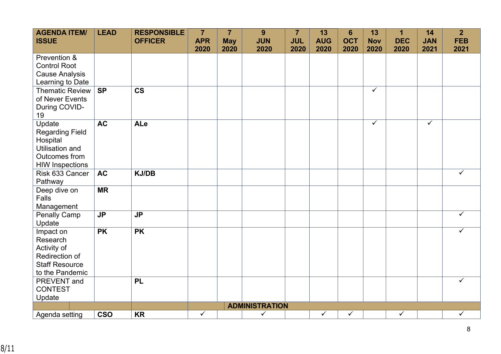| <b>AGENDA ITEM/</b><br><b>ISSUE</b>                                                                               | <b>LEAD</b> | <b>RESPONSIBLE</b><br><b>OFFICER</b> | $\overline{7}$<br><b>APR</b> | $\overline{7}$<br><b>May</b> | 9<br><b>JUN</b>       | $\overline{7}$<br><b>JUL</b> | 13<br><b>AUG</b> | $6\phantom{1}$<br><b>OCT</b> | 13<br><b>Nov</b> | $\mathbf 1$<br><b>DEC</b> | 14<br><b>JAN</b>        | 2 <sup>2</sup><br><b>FEB</b> |
|-------------------------------------------------------------------------------------------------------------------|-------------|--------------------------------------|------------------------------|------------------------------|-----------------------|------------------------------|------------------|------------------------------|------------------|---------------------------|-------------------------|------------------------------|
|                                                                                                                   |             |                                      | 2020                         | 2020                         | 2020                  | 2020                         | 2020             | 2020                         | 2020             | 2020                      | 2021                    | 2021                         |
| Prevention &<br><b>Control Root</b><br><b>Cause Analysis</b><br>Learning to Date                                  |             |                                      |                              |                              |                       |                              |                  |                              |                  |                           |                         |                              |
| <b>Thematic Review</b><br>of Never Events<br>During COVID-<br>19                                                  | SP          | $\overline{\text{cs}}$               |                              |                              |                       |                              |                  |                              | $\checkmark$     |                           |                         |                              |
| Update<br><b>Regarding Field</b><br>Hospital<br><b>Utilisation and</b><br>Outcomes from<br><b>HIW Inspections</b> | <b>AC</b>   | ALe                                  |                              |                              |                       |                              |                  |                              | $\checkmark$     |                           | $\overline{\checkmark}$ |                              |
| Risk 633 Cancer<br>Pathway                                                                                        | <b>AC</b>   | <b>KJ/DB</b>                         |                              |                              |                       |                              |                  |                              |                  |                           |                         | $\checkmark$                 |
| Deep dive on<br>Falls<br>Management                                                                               | <b>MR</b>   |                                      |                              |                              |                       |                              |                  |                              |                  |                           |                         |                              |
| <b>Penally Camp</b><br>Update                                                                                     | <b>JP</b>   | <b>JP</b>                            |                              |                              |                       |                              |                  |                              |                  |                           |                         | $\checkmark$                 |
| Impact on<br>Research<br>Activity of<br>Redirection of<br><b>Staff Resource</b><br>to the Pandemic                | <b>PK</b>   | <b>PK</b>                            |                              |                              |                       |                              |                  |                              |                  |                           |                         | ✓                            |
| PREVENT and<br><b>CONTEST</b><br>Update                                                                           |             | <b>PL</b>                            |                              |                              |                       |                              |                  |                              |                  |                           |                         | $\checkmark$                 |
|                                                                                                                   |             |                                      |                              |                              | <b>ADMINISTRATION</b> |                              |                  |                              |                  |                           |                         |                              |
| Agenda setting                                                                                                    | <b>CSO</b>  | <b>KR</b>                            | $\checkmark$                 |                              | $\checkmark$          |                              | $\checkmark$     | $\checkmark$                 |                  | $\checkmark$              |                         | $\checkmark$                 |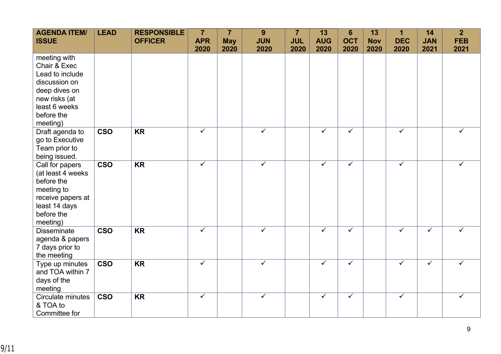| <b>AGENDA ITEM/</b><br><b>ISSUE</b>                                                                                                           | <b>LEAD</b>             | <b>RESPONSIBLE</b><br><b>OFFICER</b> | $\overline{7}$<br><b>APR</b><br>2020 | $\overline{7}$<br><b>May</b><br>2020 | 9<br><b>JUN</b><br>2020 | $\overline{7}$<br><b>JUL</b><br>2020 | 13<br><b>AUG</b><br>2020 | $6\phantom{1}$<br><b>OCT</b><br>2020 | 13<br><b>Nov</b><br>2020 | $\overline{\mathbf{1}}$<br><b>DEC</b><br>2020 | 14<br><b>JAN</b><br>2021 | $\overline{2}$<br><b>FEB</b><br>2021 |
|-----------------------------------------------------------------------------------------------------------------------------------------------|-------------------------|--------------------------------------|--------------------------------------|--------------------------------------|-------------------------|--------------------------------------|--------------------------|--------------------------------------|--------------------------|-----------------------------------------------|--------------------------|--------------------------------------|
| meeting with<br>Chair & Exec<br>Lead to include<br>discussion on<br>deep dives on<br>new risks (at<br>least 6 weeks<br>before the<br>meeting) |                         |                                      |                                      |                                      |                         |                                      |                          |                                      |                          |                                               |                          |                                      |
| Draft agenda to<br>go to Executive<br>Team prior to<br>being issued.                                                                          | <b>CSO</b>              | <b>KR</b>                            | $\overline{\checkmark}$              |                                      | $\checkmark$            |                                      | $\overline{\checkmark}$  | $\overline{\checkmark}$              |                          | $\overline{\checkmark}$                       |                          | ✓                                    |
| Call for papers<br>(at least 4 weeks<br>before the<br>meeting to<br>receive papers at<br>least 14 days<br>before the<br>meeting)              | <b>CSO</b>              | <b>KR</b>                            | $\checkmark$                         |                                      | $\checkmark$            |                                      | $\checkmark$             | ✓                                    |                          | ✓                                             |                          | ✓                                    |
| <b>Disseminate</b><br>agenda & papers<br>7 days prior to<br>the meeting                                                                       | <b>CSO</b>              | <b>KR</b>                            | $\checkmark$                         |                                      | ✓                       |                                      | $\checkmark$             | ✓                                    |                          | $\checkmark$                                  | $\checkmark$             | ✓                                    |
| Type up minutes<br>and TOA within 7<br>days of the<br>meeting                                                                                 | $\overline{\text{cso}}$ | <b>KR</b>                            | $\checkmark$                         |                                      | ✓                       |                                      | $\checkmark$             | $\overline{\checkmark}$              |                          | $\checkmark$                                  | $\overline{\checkmark}$  | ✓                                    |
| Circulate minutes<br>& TOA to<br>Committee for                                                                                                | <b>CSO</b>              | <b>KR</b>                            | $\checkmark$                         |                                      | $\checkmark$            |                                      | $\checkmark$             | $\checkmark$                         |                          | $\checkmark$                                  |                          | ✓                                    |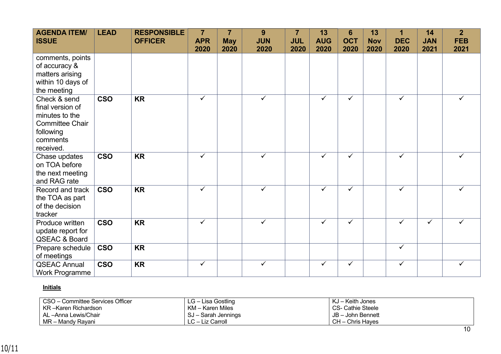| <b>AGENDA ITEM/</b><br><b>ISSUE</b>                                                                                | <b>LEAD</b> | <b>RESPONSIBLE</b><br><b>OFFICER</b> | $\overline{7}$<br><b>APR</b><br>2020 | $\overline{7}$<br><b>May</b><br>2020 | 9<br><b>JUN</b><br>2020 | $\overline{7}$<br><b>JUL</b><br>2020 | 13<br><b>AUG</b><br>2020 | 6<br><b>OCT</b><br>2020 | 13<br><b>Nov</b><br>2020 | 1<br><b>DEC</b><br>2020 | 14<br><b>JAN</b><br>2021 | $\overline{2}$<br><b>FEB</b><br>2021 |
|--------------------------------------------------------------------------------------------------------------------|-------------|--------------------------------------|--------------------------------------|--------------------------------------|-------------------------|--------------------------------------|--------------------------|-------------------------|--------------------------|-------------------------|--------------------------|--------------------------------------|
| comments, points<br>of accuracy &<br>matters arising<br>within 10 days of<br>the meeting                           |             |                                      |                                      |                                      |                         |                                      |                          |                         |                          |                         |                          |                                      |
| Check & send<br>final version of<br>minutes to the<br><b>Committee Chair</b><br>following<br>comments<br>received. | <b>CSO</b>  | <b>KR</b>                            | $\checkmark$                         |                                      | $\checkmark$            |                                      | $\checkmark$             | $\checkmark$            |                          | ✓                       |                          |                                      |
| Chase updates<br>on TOA before<br>the next meeting<br>and RAG rate                                                 | <b>CSO</b>  | <b>KR</b>                            | $\checkmark$                         |                                      | $\checkmark$            |                                      | $\checkmark$             | $\checkmark$            |                          | ✓                       |                          | $\checkmark$                         |
| Record and track<br>the TOA as part<br>of the decision<br>tracker                                                  | <b>CSO</b>  | <b>KR</b>                            | $\checkmark$                         |                                      | ✓                       |                                      | $\checkmark$             | $\checkmark$            |                          | ✓                       |                          | ✓                                    |
| Produce written<br>update report for<br>QSEAC & Board                                                              | <b>CSO</b>  | <b>KR</b>                            | $\checkmark$                         |                                      | $\checkmark$            |                                      | $\checkmark$             | ✓                       |                          | $\checkmark$            | $\checkmark$             | ✓                                    |
| Prepare schedule<br>of meetings                                                                                    | <b>CSO</b>  | <b>KR</b>                            |                                      |                                      |                         |                                      |                          |                         |                          | $\checkmark$            |                          |                                      |
| <b>QSEAC Annual</b><br><b>Work Programme</b>                                                                       | <b>CSO</b>  | <b>KR</b>                            | $\checkmark$                         |                                      | $\checkmark$            |                                      | $\checkmark$             | $\checkmark$            |                          | $\checkmark$            |                          | $\checkmark$                         |

## **Initials**

| CSO - Committee Services Officer | LG – Lisa Gostling  | KJ – Keith Jones  |
|----------------------------------|---------------------|-------------------|
| KR –Karen Richardson             | KM – Karen Miles    | CS- Cathie Steele |
| AL –Anna Lewis/Chair             | SJ – Sarah Jennings | JB - John Bennett |
| MR – Mandy Rayani                | LC – Liz Carroll    | CH – Chris Hayes  |